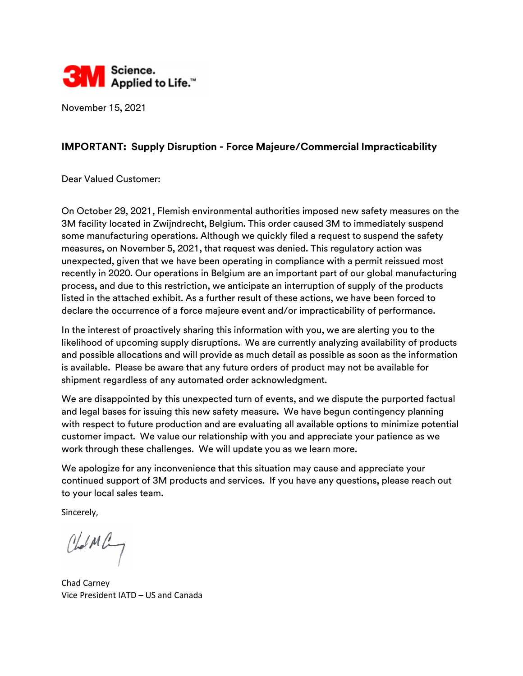

November 15, 2021

## **IMPORTANT: Supply Disruption - Force Majeure/Commercial Impracticability**

Dear Valued Customer:

On October 29, 2021, Flemish environmental authorities imposed new safety measures on the 3M facility located in Zwijndrecht, Belgium. This order caused 3M to immediately suspend some manufacturing operations. Although we quickly filed a request to suspend the safety measures, on November 5, 2021, that request was denied. This regulatory action was unexpected, given that we have been operating in compliance with a permit reissued most recently in 2020. Our operations in Belgium are an important part of our global manufacturing process, and due to this restriction, we anticipate an interruption of supply of the products listed in the attached exhibit. As a further result of these actions, we have been forced to declare the occurrence of a force majeure event and/or impracticability of performance.

In the interest of proactively sharing this information with you, we are alerting you to the likelihood of upcoming supply disruptions. We are currently analyzing availability of products and possible allocations and will provide as much detail as possible as soon as the information is available. Please be aware that any future orders of product may not be available for shipment regardless of any automated order acknowledgment.

We are disappointed by this unexpected turn of events, and we dispute the purported factual and legal bases for issuing this new safety measure. We have begun contingency planning with respect to future production and are evaluating all available options to minimize potential customer impact. We value our relationship with you and appreciate your patience as we work through these challenges. We will update you as we learn more.

We apologize for any inconvenience that this situation may cause and appreciate your continued support of 3M products and services. If you have any questions, please reach out to your local sales team.

Sincerely,

CholMay

Chad Carney Vice President IATD – US and Canada